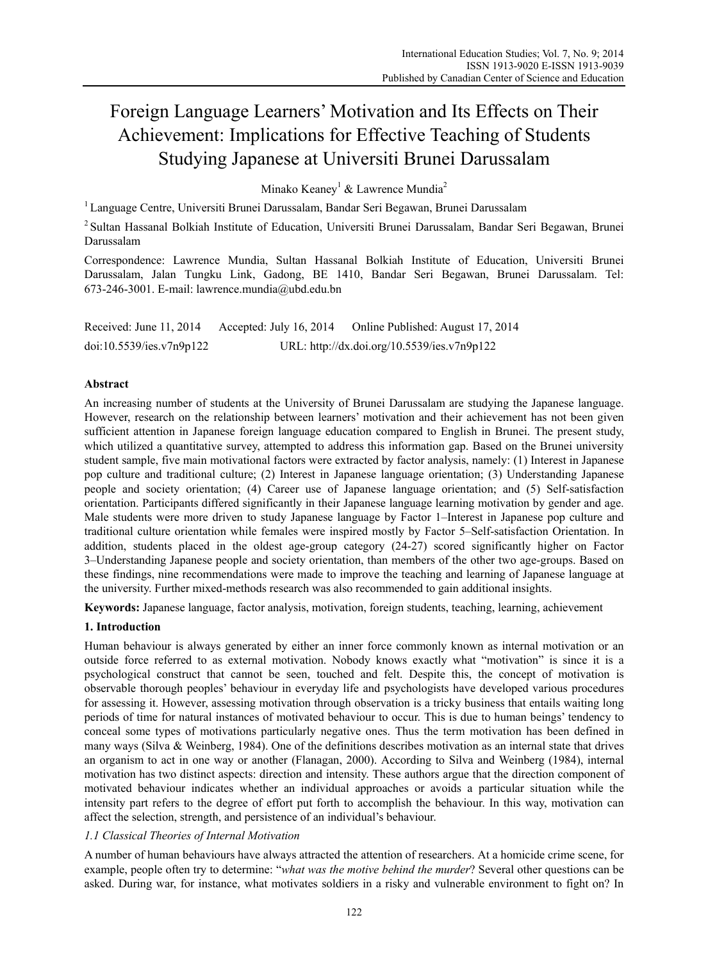# Foreign Language Learners' Motivation and Its Effects on Their Achievement: Implications for Effective Teaching of Students Studying Japanese at Universiti Brunei Darussalam

Minako Keaney<sup>1</sup> & Lawrence Mundia<sup>2</sup>

1 Language Centre, Universiti Brunei Darussalam, Bandar Seri Begawan, Brunei Darussalam

2 Sultan Hassanal Bolkiah Institute of Education, Universiti Brunei Darussalam, Bandar Seri Begawan, Brunei Darussalam

Correspondence: Lawrence Mundia, Sultan Hassanal Bolkiah Institute of Education, Universiti Brunei Darussalam, Jalan Tungku Link, Gadong, BE 1410, Bandar Seri Begawan, Brunei Darussalam. Tel: 673-246-3001. E-mail: lawrence.mundia@ubd.edu.bn

Received: June 11, 2014 Accepted: July 16, 2014 Online Published: August 17, 2014 doi:10.5539/ies.v7n9p122 URL: http://dx.doi.org/10.5539/ies.v7n9p122

# **Abstract**

An increasing number of students at the University of Brunei Darussalam are studying the Japanese language. However, research on the relationship between learners' motivation and their achievement has not been given sufficient attention in Japanese foreign language education compared to English in Brunei. The present study, which utilized a quantitative survey, attempted to address this information gap. Based on the Brunei university student sample, five main motivational factors were extracted by factor analysis, namely: (1) Interest in Japanese pop culture and traditional culture; (2) Interest in Japanese language orientation; (3) Understanding Japanese people and society orientation; (4) Career use of Japanese language orientation; and (5) Self-satisfaction orientation. Participants differed significantly in their Japanese language learning motivation by gender and age. Male students were more driven to study Japanese language by Factor 1–Interest in Japanese pop culture and traditional culture orientation while females were inspired mostly by Factor 5–Self-satisfaction Orientation. In addition, students placed in the oldest age-group category (24-27) scored significantly higher on Factor 3–Understanding Japanese people and society orientation, than members of the other two age-groups. Based on these findings, nine recommendations were made to improve the teaching and learning of Japanese language at the university. Further mixed-methods research was also recommended to gain additional insights.

**Keywords:** Japanese language, factor analysis, motivation, foreign students, teaching, learning, achievement

# **1. Introduction**

Human behaviour is always generated by either an inner force commonly known as internal motivation or an outside force referred to as external motivation. Nobody knows exactly what "motivation" is since it is a psychological construct that cannot be seen, touched and felt. Despite this, the concept of motivation is observable thorough peoples' behaviour in everyday life and psychologists have developed various procedures for assessing it. However, assessing motivation through observation is a tricky business that entails waiting long periods of time for natural instances of motivated behaviour to occur. This is due to human beings' tendency to conceal some types of motivations particularly negative ones. Thus the term motivation has been defined in many ways (Silva & Weinberg, 1984). One of the definitions describes motivation as an internal state that drives an organism to act in one way or another (Flanagan, 2000). According to Silva and Weinberg (1984), internal motivation has two distinct aspects: direction and intensity. These authors argue that the direction component of motivated behaviour indicates whether an individual approaches or avoids a particular situation while the intensity part refers to the degree of effort put forth to accomplish the behaviour. In this way, motivation can affect the selection, strength, and persistence of an individual's behaviour.

# *1.1 Classical Theories of Internal Motivation*

A number of human behaviours have always attracted the attention of researchers. At a homicide crime scene, for example, people often try to determine: "*what was the motive behind the murder*? Several other questions can be asked. During war, for instance, what motivates soldiers in a risky and vulnerable environment to fight on? In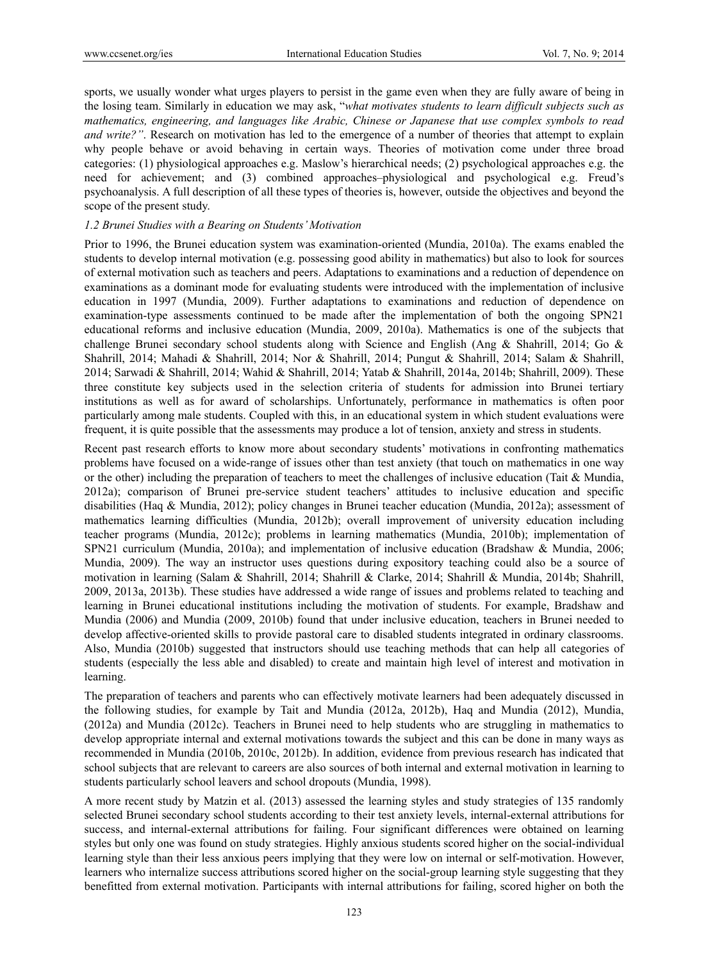sports, we usually wonder what urges players to persist in the game even when they are fully aware of being in the losing team. Similarly in education we may ask, "*what motivates students to learn difficult subjects such as mathematics, engineering, and languages like Arabic, Chinese or Japanese that use complex symbols to read and write?"*. Research on motivation has led to the emergence of a number of theories that attempt to explain why people behave or avoid behaving in certain ways. Theories of motivation come under three broad categories: (1) physiological approaches e.g. Maslow's hierarchical needs; (2) psychological approaches e.g. the need for achievement; and (3) combined approaches–physiological and psychological e.g. Freud's psychoanalysis. A full description of all these types of theories is, however, outside the objectives and beyond the scope of the present study.

#### *1.2 Brunei Studies with a Bearing on Students' Motivation*

Prior to 1996, the Brunei education system was examination-oriented (Mundia, 2010a). The exams enabled the students to develop internal motivation (e.g. possessing good ability in mathematics) but also to look for sources of external motivation such as teachers and peers. Adaptations to examinations and a reduction of dependence on examinations as a dominant mode for evaluating students were introduced with the implementation of inclusive education in 1997 (Mundia, 2009). Further adaptations to examinations and reduction of dependence on examination-type assessments continued to be made after the implementation of both the ongoing SPN21 educational reforms and inclusive education (Mundia, 2009, 2010a). Mathematics is one of the subjects that challenge Brunei secondary school students along with Science and English (Ang & Shahrill, 2014; Go & Shahrill, 2014; Mahadi & Shahrill, 2014; Nor & Shahrill, 2014; Pungut & Shahrill, 2014; Salam & Shahrill, 2014; Sarwadi & Shahrill, 2014; Wahid & Shahrill, 2014; Yatab & Shahrill, 2014a, 2014b; Shahrill, 2009). These three constitute key subjects used in the selection criteria of students for admission into Brunei tertiary institutions as well as for award of scholarships. Unfortunately, performance in mathematics is often poor particularly among male students. Coupled with this, in an educational system in which student evaluations were frequent, it is quite possible that the assessments may produce a lot of tension, anxiety and stress in students.

Recent past research efforts to know more about secondary students' motivations in confronting mathematics problems have focused on a wide-range of issues other than test anxiety (that touch on mathematics in one way or the other) including the preparation of teachers to meet the challenges of inclusive education (Tait & Mundia, 2012a); comparison of Brunei pre-service student teachers' attitudes to inclusive education and specific disabilities (Haq & Mundia, 2012); policy changes in Brunei teacher education (Mundia, 2012a); assessment of mathematics learning difficulties (Mundia, 2012b); overall improvement of university education including teacher programs (Mundia, 2012c); problems in learning mathematics (Mundia, 2010b); implementation of SPN21 curriculum (Mundia, 2010a); and implementation of inclusive education (Bradshaw & Mundia, 2006; Mundia, 2009). The way an instructor uses questions during expository teaching could also be a source of motivation in learning (Salam & Shahrill, 2014; Shahrill & Clarke, 2014; Shahrill & Mundia, 2014b; Shahrill, 2009, 2013a, 2013b). These studies have addressed a wide range of issues and problems related to teaching and learning in Brunei educational institutions including the motivation of students. For example, Bradshaw and Mundia (2006) and Mundia (2009, 2010b) found that under inclusive education, teachers in Brunei needed to develop affective-oriented skills to provide pastoral care to disabled students integrated in ordinary classrooms. Also, Mundia (2010b) suggested that instructors should use teaching methods that can help all categories of students (especially the less able and disabled) to create and maintain high level of interest and motivation in learning.

The preparation of teachers and parents who can effectively motivate learners had been adequately discussed in the following studies, for example by Tait and Mundia (2012a, 2012b), Haq and Mundia (2012), Mundia, (2012a) and Mundia (2012c). Teachers in Brunei need to help students who are struggling in mathematics to develop appropriate internal and external motivations towards the subject and this can be done in many ways as recommended in Mundia (2010b, 2010c, 2012b). In addition, evidence from previous research has indicated that school subjects that are relevant to careers are also sources of both internal and external motivation in learning to students particularly school leavers and school dropouts (Mundia, 1998).

A more recent study by Matzin et al. (2013) assessed the learning styles and study strategies of 135 randomly selected Brunei secondary school students according to their test anxiety levels, internal-external attributions for success, and internal-external attributions for failing. Four significant differences were obtained on learning styles but only one was found on study strategies. Highly anxious students scored higher on the social-individual learning style than their less anxious peers implying that they were low on internal or self-motivation. However, learners who internalize success attributions scored higher on the social-group learning style suggesting that they benefitted from external motivation. Participants with internal attributions for failing, scored higher on both the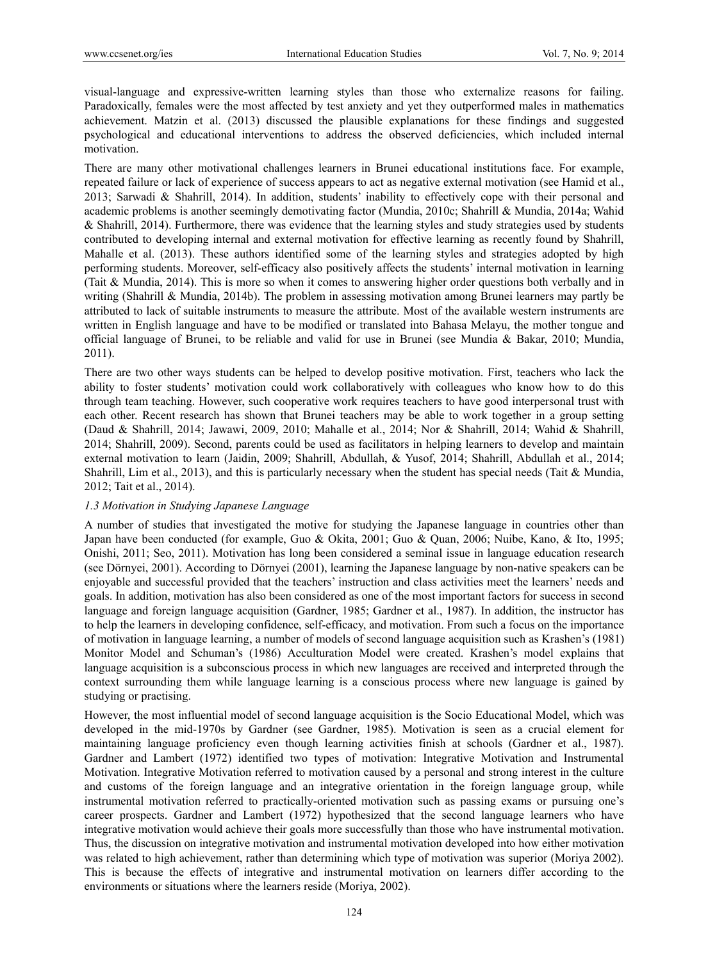visual-language and expressive-written learning styles than those who externalize reasons for failing. Paradoxically, females were the most affected by test anxiety and yet they outperformed males in mathematics achievement. Matzin et al. (2013) discussed the plausible explanations for these findings and suggested psychological and educational interventions to address the observed deficiencies, which included internal motivation.

There are many other motivational challenges learners in Brunei educational institutions face. For example, repeated failure or lack of experience of success appears to act as negative external motivation (see Hamid et al., 2013; Sarwadi & Shahrill, 2014). In addition, students' inability to effectively cope with their personal and academic problems is another seemingly demotivating factor (Mundia, 2010c; Shahrill & Mundia, 2014a; Wahid & Shahrill, 2014). Furthermore, there was evidence that the learning styles and study strategies used by students contributed to developing internal and external motivation for effective learning as recently found by Shahrill, Mahalle et al. (2013). These authors identified some of the learning styles and strategies adopted by high performing students. Moreover, self-efficacy also positively affects the students' internal motivation in learning (Tait & Mundia, 2014). This is more so when it comes to answering higher order questions both verbally and in writing (Shahrill & Mundia, 2014b). The problem in assessing motivation among Brunei learners may partly be attributed to lack of suitable instruments to measure the attribute. Most of the available western instruments are written in English language and have to be modified or translated into Bahasa Melayu, the mother tongue and official language of Brunei, to be reliable and valid for use in Brunei (see Mundia & Bakar, 2010; Mundia, 2011).

There are two other ways students can be helped to develop positive motivation. First, teachers who lack the ability to foster students' motivation could work collaboratively with colleagues who know how to do this through team teaching. However, such cooperative work requires teachers to have good interpersonal trust with each other. Recent research has shown that Brunei teachers may be able to work together in a group setting (Daud & Shahrill, 2014; Jawawi, 2009, 2010; Mahalle et al., 2014; Nor & Shahrill, 2014; Wahid & Shahrill, 2014; Shahrill, 2009). Second, parents could be used as facilitators in helping learners to develop and maintain external motivation to learn (Jaidin, 2009; Shahrill, Abdullah, & Yusof, 2014; Shahrill, Abdullah et al., 2014; Shahrill, Lim et al., 2013), and this is particularly necessary when the student has special needs (Tait & Mundia, 2012; Tait et al., 2014).

## *1.3 Motivation in Studying Japanese Language*

A number of studies that investigated the motive for studying the Japanese language in countries other than Japan have been conducted (for example, Guo & Okita, 2001; Guo & Quan, 2006; Nuibe, Kano, & Ito, 1995; Onishi, 2011; Seo, 2011). Motivation has long been considered a seminal issue in language education research (see Dörnyei, 2001). According to Dörnyei (2001), learning the Japanese language by non-native speakers can be enjoyable and successful provided that the teachers' instruction and class activities meet the learners' needs and goals. In addition, motivation has also been considered as one of the most important factors for success in second language and foreign language acquisition (Gardner, 1985; Gardner et al., 1987). In addition, the instructor has to help the learners in developing confidence, self-efficacy, and motivation. From such a focus on the importance of motivation in language learning, a number of models of second language acquisition such as Krashen's (1981) Monitor Model and Schuman's (1986) Acculturation Model were created. Krashen's model explains that language acquisition is a subconscious process in which new languages are received and interpreted through the context surrounding them while language learning is a conscious process where new language is gained by studying or practising.

However, the most influential model of second language acquisition is the Socio Educational Model, which was developed in the mid-1970s by Gardner (see Gardner, 1985). Motivation is seen as a crucial element for maintaining language proficiency even though learning activities finish at schools (Gardner et al., 1987). Gardner and Lambert (1972) identified two types of motivation: Integrative Motivation and Instrumental Motivation. Integrative Motivation referred to motivation caused by a personal and strong interest in the culture and customs of the foreign language and an integrative orientation in the foreign language group, while instrumental motivation referred to practically-oriented motivation such as passing exams or pursuing one's career prospects. Gardner and Lambert (1972) hypothesized that the second language learners who have integrative motivation would achieve their goals more successfully than those who have instrumental motivation. Thus, the discussion on integrative motivation and instrumental motivation developed into how either motivation was related to high achievement, rather than determining which type of motivation was superior (Moriya 2002). This is because the effects of integrative and instrumental motivation on learners differ according to the environments or situations where the learners reside (Moriya, 2002).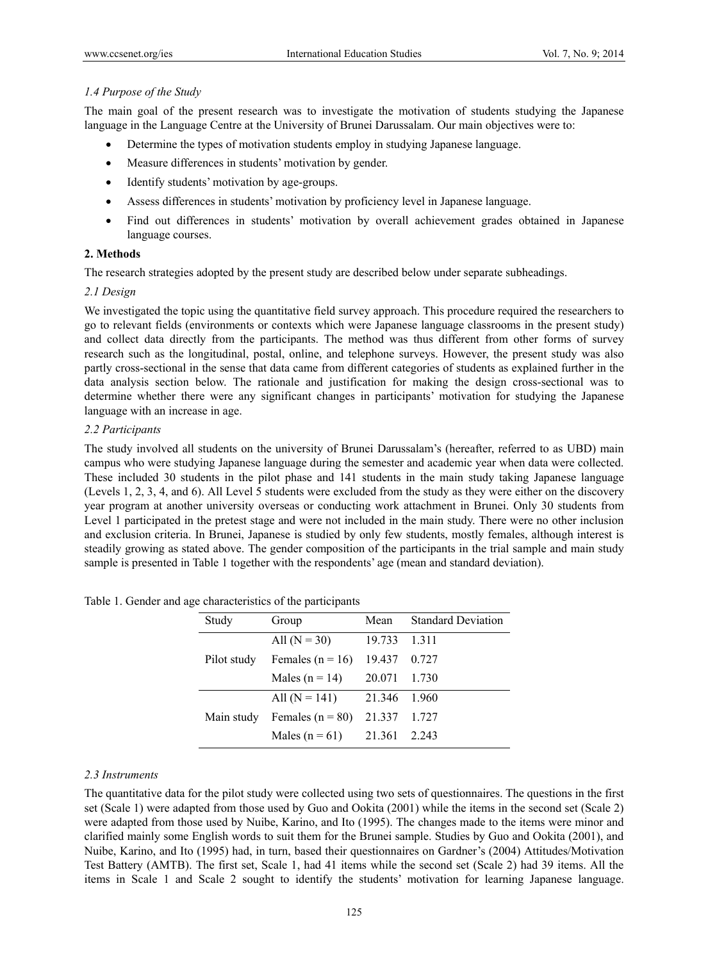# *1.4 Purpose of the Study*

The main goal of the present research was to investigate the motivation of students studying the Japanese language in the Language Centre at the University of Brunei Darussalam. Our main objectives were to:

- Determine the types of motivation students employ in studying Japanese language.
- Measure differences in students' motivation by gender.
- Identify students' motivation by age-groups.
- Assess differences in students' motivation by proficiency level in Japanese language.
- Find out differences in students' motivation by overall achievement grades obtained in Japanese language courses.

## **2. Methods**

The research strategies adopted by the present study are described below under separate subheadings.

## *2.1 Design*

We investigated the topic using the quantitative field survey approach. This procedure required the researchers to go to relevant fields (environments or contexts which were Japanese language classrooms in the present study) and collect data directly from the participants. The method was thus different from other forms of survey research such as the longitudinal, postal, online, and telephone surveys. However, the present study was also partly cross-sectional in the sense that data came from different categories of students as explained further in the data analysis section below. The rationale and justification for making the design cross-sectional was to determine whether there were any significant changes in participants' motivation for studying the Japanese language with an increase in age.

## *2.2 Participants*

The study involved all students on the university of Brunei Darussalam's (hereafter, referred to as UBD) main campus who were studying Japanese language during the semester and academic year when data were collected. These included 30 students in the pilot phase and 141 students in the main study taking Japanese language (Levels 1, 2, 3, 4, and 6). All Level 5 students were excluded from the study as they were either on the discovery year program at another university overseas or conducting work attachment in Brunei. Only 30 students from Level 1 participated in the pretest stage and were not included in the main study. There were no other inclusion and exclusion criteria. In Brunei, Japanese is studied by only few students, mostly females, although interest is steadily growing as stated above. The gender composition of the participants in the trial sample and main study sample is presented in Table 1 together with the respondents' age (mean and standard deviation).

| Study       | Group                | Mean   | <b>Standard Deviation</b> |
|-------------|----------------------|--------|---------------------------|
|             | All $(N = 30)$       | 19.733 | 1.311                     |
| Pilot study | Females ( $n = 16$ ) | 19.437 | 0.727                     |
|             | Males ( $n = 14$ )   | 20.071 | 1.730                     |
|             | All $(N = 141)$      | 21.346 | 1.960                     |
| Main study  | Females $(n = 80)$   | 21.337 | 1.727                     |
|             | Males ( $n = 61$ )   | 21.361 | 2 2 4 3                   |

Table 1. Gender and age characteristics of the participants

#### *2.3 Instruments*

The quantitative data for the pilot study were collected using two sets of questionnaires. The questions in the first set (Scale 1) were adapted from those used by Guo and Ookita (2001) while the items in the second set (Scale 2) were adapted from those used by Nuibe, Karino, and Ito (1995). The changes made to the items were minor and clarified mainly some English words to suit them for the Brunei sample. Studies by Guo and Ookita (2001), and Nuibe, Karino, and Ito (1995) had, in turn, based their questionnaires on Gardner's (2004) Attitudes/Motivation Test Battery (AMTB). The first set, Scale 1, had 41 items while the second set (Scale 2) had 39 items. All the items in Scale 1 and Scale 2 sought to identify the students' motivation for learning Japanese language.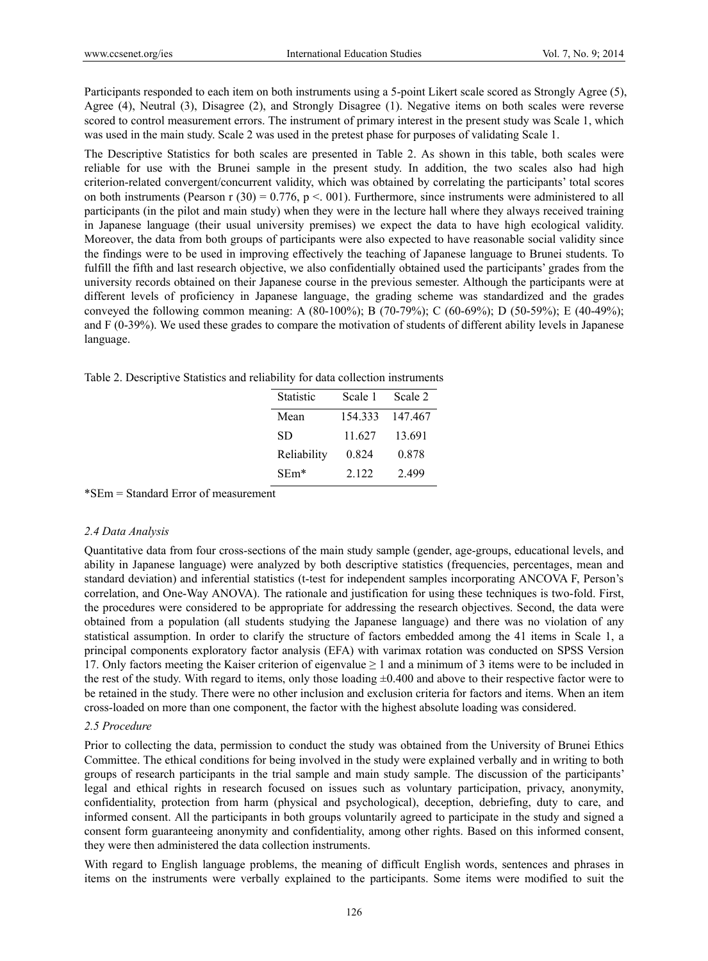Participants responded to each item on both instruments using a 5-point Likert scale scored as Strongly Agree (5), Agree (4), Neutral (3), Disagree (2), and Strongly Disagree (1). Negative items on both scales were reverse scored to control measurement errors. The instrument of primary interest in the present study was Scale 1, which was used in the main study. Scale 2 was used in the pretest phase for purposes of validating Scale 1.

The Descriptive Statistics for both scales are presented in Table 2. As shown in this table, both scales were reliable for use with the Brunei sample in the present study. In addition, the two scales also had high criterion-related convergent/concurrent validity, which was obtained by correlating the participants' total scores on both instruments (Pearson r (30) =  $0.776$ , p < 001). Furthermore, since instruments were administered to all participants (in the pilot and main study) when they were in the lecture hall where they always received training in Japanese language (their usual university premises) we expect the data to have high ecological validity. Moreover, the data from both groups of participants were also expected to have reasonable social validity since the findings were to be used in improving effectively the teaching of Japanese language to Brunei students. To fulfill the fifth and last research objective, we also confidentially obtained used the participants' grades from the university records obtained on their Japanese course in the previous semester. Although the participants were at different levels of proficiency in Japanese language, the grading scheme was standardized and the grades conveyed the following common meaning: A (80-100%); B (70-79%); C (60-69%); D (50-59%); E (40-49%); and F (0-39%). We used these grades to compare the motivation of students of different ability levels in Japanese language.

Table 2. Descriptive Statistics and reliability for data collection instruments

| <b>Statistic</b> | Scale 1 | Scale 2 |
|------------------|---------|---------|
| Mean             | 154.333 | 147.467 |
| SD               | 11.627  | 13.691  |
| Reliability      | 0.824   | 0.878   |
| $SEm*$           | 2 1 2 2 | 2499    |

\*SEm = Standard Error of measurement

#### *2.4 Data Analysis*

Quantitative data from four cross-sections of the main study sample (gender, age-groups, educational levels, and ability in Japanese language) were analyzed by both descriptive statistics (frequencies, percentages, mean and standard deviation) and inferential statistics (t-test for independent samples incorporating ANCOVA F, Person's correlation, and One-Way ANOVA). The rationale and justification for using these techniques is two-fold. First, the procedures were considered to be appropriate for addressing the research objectives. Second, the data were obtained from a population (all students studying the Japanese language) and there was no violation of any statistical assumption. In order to clarify the structure of factors embedded among the 41 items in Scale 1, a principal components exploratory factor analysis (EFA) with varimax rotation was conducted on SPSS Version 17. Only factors meeting the Kaiser criterion of eigenvalue ≥ 1 and a minimum of 3 items were to be included in the rest of the study. With regard to items, only those loading  $\pm 0.400$  and above to their respective factor were to be retained in the study. There were no other inclusion and exclusion criteria for factors and items. When an item cross-loaded on more than one component, the factor with the highest absolute loading was considered.

## *2.5 Procedure*

Prior to collecting the data, permission to conduct the study was obtained from the University of Brunei Ethics Committee. The ethical conditions for being involved in the study were explained verbally and in writing to both groups of research participants in the trial sample and main study sample. The discussion of the participants' legal and ethical rights in research focused on issues such as voluntary participation, privacy, anonymity, confidentiality, protection from harm (physical and psychological), deception, debriefing, duty to care, and informed consent. All the participants in both groups voluntarily agreed to participate in the study and signed a consent form guaranteeing anonymity and confidentiality, among other rights. Based on this informed consent, they were then administered the data collection instruments.

With regard to English language problems, the meaning of difficult English words, sentences and phrases in items on the instruments were verbally explained to the participants. Some items were modified to suit the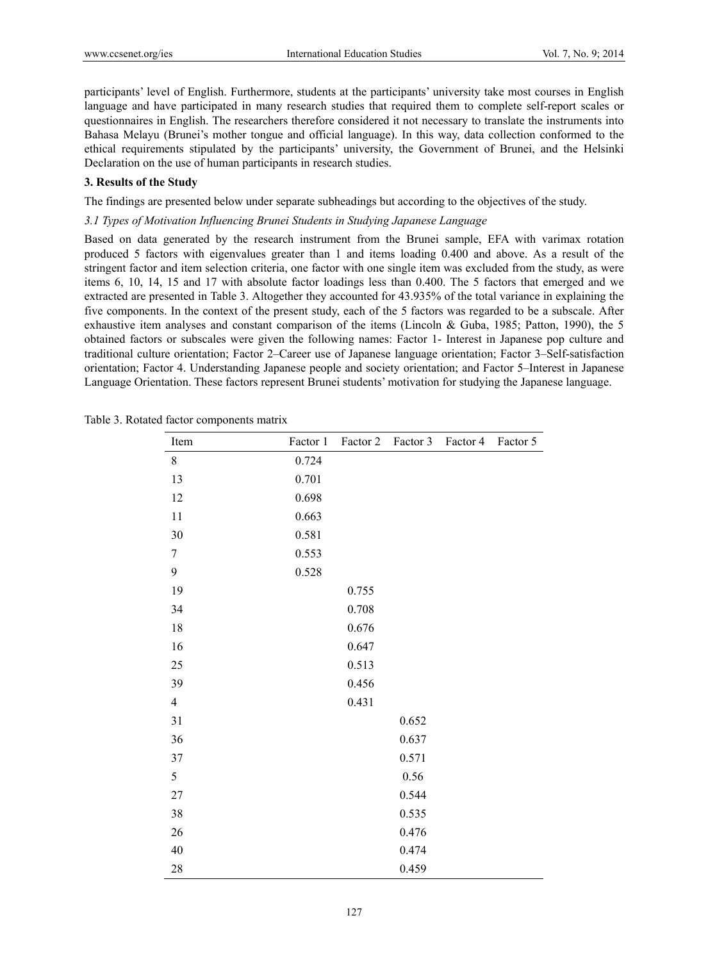participants' level of English. Furthermore, students at the participants' university take most courses in English language and have participated in many research studies that required them to complete self-report scales or questionnaires in English. The researchers therefore considered it not necessary to translate the instruments into Bahasa Melayu (Brunei's mother tongue and official language). In this way, data collection conformed to the ethical requirements stipulated by the participants' university, the Government of Brunei, and the Helsinki Declaration on the use of human participants in research studies.

## **3. Results of the Study**

The findings are presented below under separate subheadings but according to the objectives of the study.

## *3.1 Types of Motivation Influencing Brunei Students in Studying Japanese Language*

Based on data generated by the research instrument from the Brunei sample, EFA with varimax rotation produced 5 factors with eigenvalues greater than 1 and items loading 0.400 and above. As a result of the stringent factor and item selection criteria, one factor with one single item was excluded from the study, as were items 6, 10, 14, 15 and 17 with absolute factor loadings less than 0.400. The 5 factors that emerged and we extracted are presented in Table 3. Altogether they accounted for 43.935% of the total variance in explaining the five components. In the context of the present study, each of the 5 factors was regarded to be a subscale. After exhaustive item analyses and constant comparison of the items (Lincoln & Guba, 1985; Patton, 1990), the 5 obtained factors or subscales were given the following names: Factor 1- Interest in Japanese pop culture and traditional culture orientation; Factor 2–Career use of Japanese language orientation; Factor 3–Self-satisfaction orientation; Factor 4. Understanding Japanese people and society orientation; and Factor 5–Interest in Japanese Language Orientation. These factors represent Brunei students' motivation for studying the Japanese language.

| Item             | Factor 1 | Factor 2 |       | Factor 3 Factor 4 | Factor 5 |
|------------------|----------|----------|-------|-------------------|----------|
| $8\,$            | 0.724    |          |       |                   |          |
| 13               | 0.701    |          |       |                   |          |
| 12               | 0.698    |          |       |                   |          |
| 11               | 0.663    |          |       |                   |          |
| $30\,$           | 0.581    |          |       |                   |          |
| $\boldsymbol{7}$ | 0.553    |          |       |                   |          |
| 9                | 0.528    |          |       |                   |          |
| 19               |          | 0.755    |       |                   |          |
| 34               |          | 0.708    |       |                   |          |
| 18               |          | 0.676    |       |                   |          |
| 16               |          | 0.647    |       |                   |          |
| 25               |          | 0.513    |       |                   |          |
| 39               |          | 0.456    |       |                   |          |
| $\overline{4}$   |          | 0.431    |       |                   |          |
| 31               |          |          | 0.652 |                   |          |
| 36               |          |          | 0.637 |                   |          |
| 37               |          |          | 0.571 |                   |          |
| 5                |          |          | 0.56  |                   |          |
| 27               |          |          | 0.544 |                   |          |
| 38               |          |          | 0.535 |                   |          |
| 26               |          |          | 0.476 |                   |          |
| 40               |          |          | 0.474 |                   |          |
| $28\,$           |          |          | 0.459 |                   |          |

Table 3. Rotated factor components matrix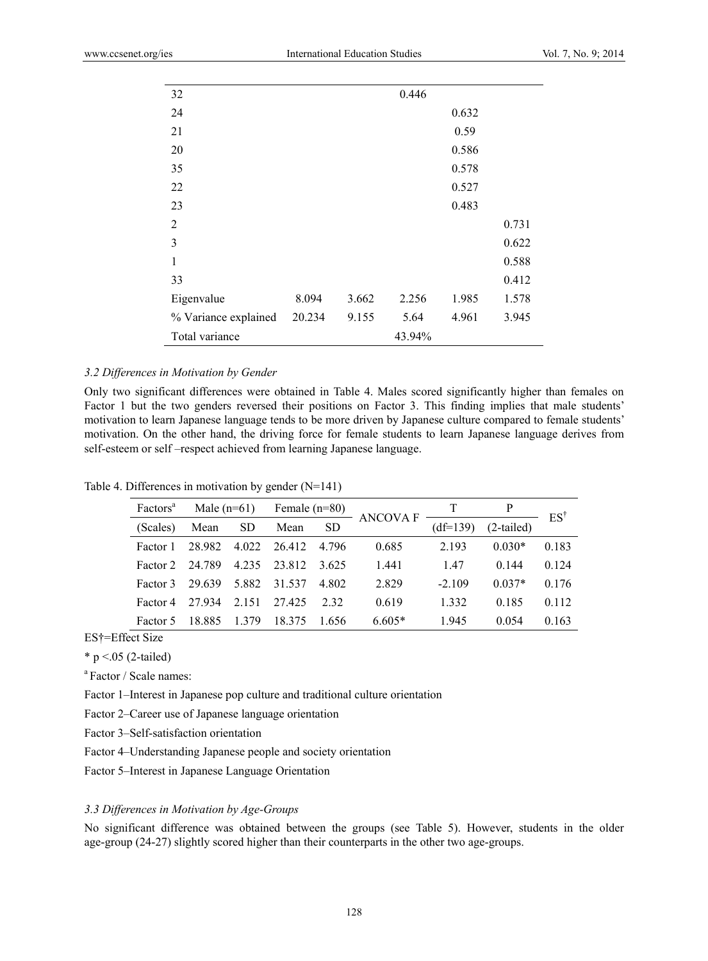| 32                   |        |       | 0.446  |       |       |
|----------------------|--------|-------|--------|-------|-------|
| 24                   |        |       |        | 0.632 |       |
| 21                   |        |       |        | 0.59  |       |
| 20                   |        |       |        | 0.586 |       |
| 35                   |        |       |        | 0.578 |       |
| 22                   |        |       |        | 0.527 |       |
| 23                   |        |       |        | 0.483 |       |
| 2                    |        |       |        |       | 0.731 |
| 3                    |        |       |        |       | 0.622 |
| 1                    |        |       |        |       | 0.588 |
| 33                   |        |       |        |       | 0.412 |
| Eigenvalue           | 8.094  | 3.662 | 2.256  | 1.985 | 1.578 |
| % Variance explained | 20.234 | 9.155 | 5.64   | 4.961 | 3.945 |
| Total variance       |        |       | 43.94% |       |       |

# *3.2 Differences in Motivation by Gender*

Only two significant differences were obtained in Table 4. Males scored significantly higher than females on Factor 1 but the two genders reversed their positions on Factor 3. This finding implies that male students' motivation to learn Japanese language tends to be more driven by Japanese culture compared to female students' motivation. On the other hand, the driving force for female students to learn Japanese language derives from self-esteem or self –respect achieved from learning Japanese language.

|                                    |        |         |                           |       |          | Factors <sup>a</sup> Male (n=61) Female (n=80) ANCOVA F $\frac{T}{T}$ P |              | $ES^{\dagger}$ |
|------------------------------------|--------|---------|---------------------------|-------|----------|-------------------------------------------------------------------------|--------------|----------------|
| (Scales) Mean SD Mean SD           |        |         |                           |       |          | $(df=139)$                                                              | $(2-tailed)$ |                |
| Factor 1                           |        |         | 28.982 4.022 26.412 4.796 |       | 0.685    | 2.193                                                                   | $0.030*$     | 0.183          |
| Factor 2 24.789 4.235 23.812 3.625 |        |         |                           |       | 1.441    | 1.47                                                                    | 0.144        | 0.124          |
| Factor 3 29.639 5.882 31.537       |        |         |                           | 4 802 | 2.829    | $-2.109$                                                                | $0.037*$     | 0.176          |
| Factor 4 27.934 2.151 27.425 2.32  |        |         |                           |       | 0.619    | 1.332                                                                   | 0.185        | 0.112          |
| Factor 5                           | 18.885 | 1 3 7 9 | 18 375                    | 1.656 | $6.605*$ | 1945                                                                    | 0.054        | 0.163          |
|                                    |        |         |                           |       |          |                                                                         |              |                |

Table 4. Differences in motivation by gender (N=141)

ES†=Effect Size

 $*$  p <.05 (2-tailed)

a Factor / Scale names:

Factor 1–Interest in Japanese pop culture and traditional culture orientation

Factor 2–Career use of Japanese language orientation

Factor 3–Self-satisfaction orientation

Factor 4–Understanding Japanese people and society orientation

Factor 5–Interest in Japanese Language Orientation

#### *3.3 Differences in Motivation by Age-Groups*

No significant difference was obtained between the groups (see Table 5). However, students in the older age-group (24-27) slightly scored higher than their counterparts in the other two age-groups.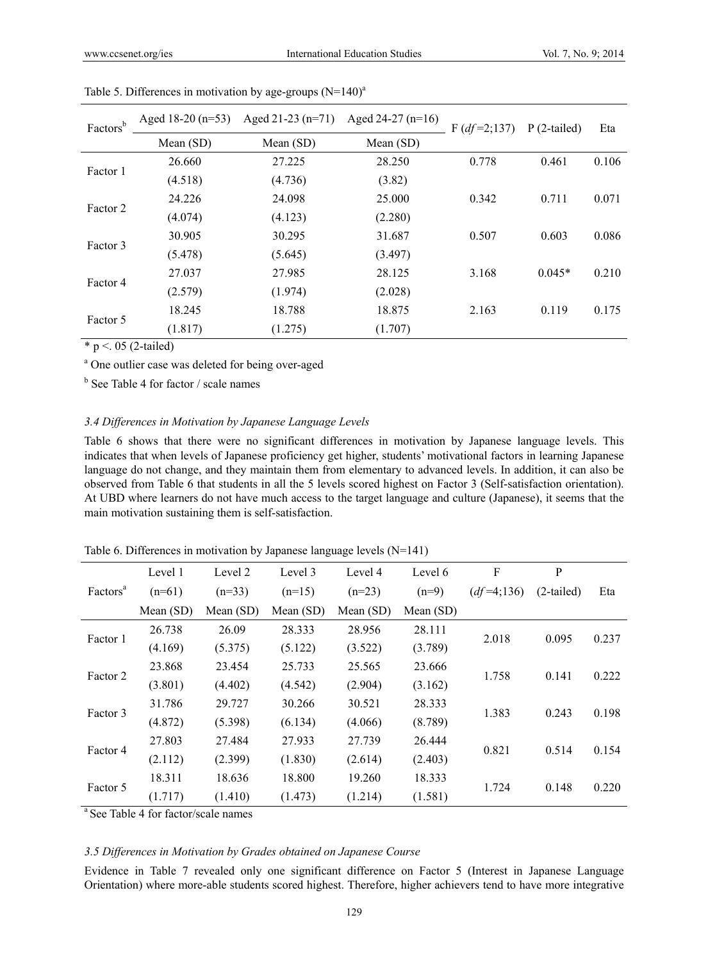| Factorsb | Aged $18-20$ (n=53)                   | Aged 21-23 $(n=71)$ | Aged 24-27 $(n=16)$ | F $(df=2;137)$ | $P(2-tailed)$ | Eta   |  |
|----------|---------------------------------------|---------------------|---------------------|----------------|---------------|-------|--|
|          | Mean (SD)<br>Mean (SD)<br>Mean $(SD)$ |                     |                     |                |               |       |  |
| Factor 1 | 26.660                                | 27.225              | 28.250              | 0.778          | 0.461         | 0.106 |  |
|          | (4.518)                               | (4.736)             | (3.82)              |                |               |       |  |
| Factor 2 | 24.226                                | 24.098              | 25.000              | 0.342          | 0.711         | 0.071 |  |
|          | (4.074)                               | (4.123)             | (2.280)             |                |               |       |  |
| Factor 3 | 30.905                                | 30.295              | 31.687              | 0.507          | 0.603         | 0.086 |  |
|          | (5.478)                               | (5.645)             | (3.497)             |                |               |       |  |
| Factor 4 | 27.037                                | 27.985              | 28.125              | 3.168          | $0.045*$      | 0.210 |  |
|          | (2.579)                               | (1.974)             | (2.028)             |                |               |       |  |
| Factor 5 | 18.245                                | 18.788              | 18.875              | 2.163          | 0.119         | 0.175 |  |
|          | (1.817)                               | (1.275)             | (1.707)             |                |               |       |  |

Table 5. Differences in motivation by age-groups  $(N=140)^{a}$ 

 $* p < 05 (2-tailed)$ 

<sup>a</sup> One outlier case was deleted for being over-aged

b See Table 4 for factor / scale names

#### *3.4 Differences in Motivation by Japanese Language Levels*

Table 6 shows that there were no significant differences in motivation by Japanese language levels. This indicates that when levels of Japanese proficiency get higher, students' motivational factors in learning Japanese language do not change, and they maintain them from elementary to advanced levels. In addition, it can also be observed from Table 6 that students in all the 5 levels scored highest on Factor 3 (Self-satisfaction orientation). At UBD where learners do not have much access to the target language and culture (Japanese), it seems that the main motivation sustaining them is self-satisfaction.

|                      | Level 1   | Level 2   | Level 3     | Level 4     | Level 6     | F            | P          |       |
|----------------------|-----------|-----------|-------------|-------------|-------------|--------------|------------|-------|
| Factors <sup>a</sup> | $(n=61)$  | $(n=33)$  | $(n=15)$    | $(n=23)$    | $(n=9)$     | $(df=4:136)$ | (2-tailed) | Eta   |
|                      | Mean (SD) | Mean (SD) | Mean $(SD)$ | Mean $(SD)$ | Mean $(SD)$ |              |            |       |
|                      | 26.738    | 26.09     | 28.333      | 28.956      | 28.111      | 2.018        | 0.095      | 0.237 |
| Factor 1             | (4.169)   | (5.375)   | (5.122)     | (3.522)     | (3.789)     |              |            |       |
|                      | 23.868    | 23.454    | 25.733      | 25.565      | 23.666      | 1.758        | 0.141      | 0.222 |
| Factor 2             | (3.801)   | (4.402)   | (4.542)     | (2.904)     | (3.162)     |              |            |       |
| Factor 3             | 31.786    | 29.727    | 30.266      | 30.521      | 28.333      | 1.383        | 0.243      | 0.198 |
|                      | (4.872)   | (5.398)   | (6.134)     | (4.066)     | (8.789)     |              |            |       |
| Factor 4             | 27.803    | 27.484    | 27.933      | 27.739      | 26.444      | 0.821        | 0.514      | 0.154 |
|                      | (2.112)   | (2.399)   | (1.830)     | (2.614)     | (2.403)     |              |            |       |
|                      | 18.311    | 18.636    | 18.800      | 19.260      | 18.333      | 1.724        |            | 0.220 |
| Factor 5             | (1.717)   | (1.410)   | (1.473)     | (1.214)     | (1.581)     |              | 0.148      |       |

Table 6. Differences in motivation by Japanese language levels (N=141)

 $\frac{a}{\sqrt{12}}$  See Table 4 for factor/scale names

# *3.5 Differences in Motivation by Grades obtained on Japanese Course*

Evidence in Table 7 revealed only one significant difference on Factor 5 (Interest in Japanese Language Orientation) where more-able students scored highest. Therefore, higher achievers tend to have more integrative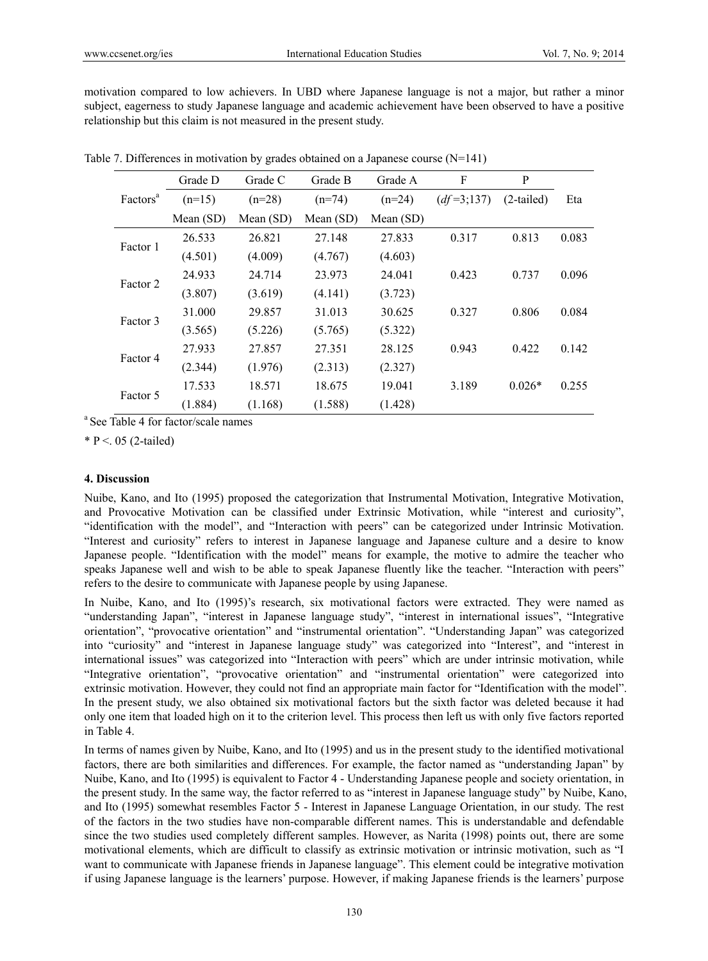motivation compared to low achievers. In UBD where Japanese language is not a major, but rather a minor subject, eagerness to study Japanese language and academic achievement have been observed to have a positive relationship but this claim is not measured in the present study.

|                      | Grade D     | Grade C     | Grade B     | Grade A     | F            | P            |       |
|----------------------|-------------|-------------|-------------|-------------|--------------|--------------|-------|
| Factors <sup>a</sup> | $(n=15)$    | $(n=28)$    | $(n=74)$    | $(n=24)$    | $(df=3;137)$ | $(2-tailed)$ | Eta   |
|                      | Mean $(SD)$ | Mean $(SD)$ | Mean $(SD)$ | Mean $(SD)$ |              |              |       |
| Factor 1             | 26.533      | 26.821      | 27.148      | 27.833      | 0.317        | 0.813        | 0.083 |
|                      | (4.501)     | (4.009)     | (4.767)     | (4.603)     |              |              |       |
| Factor 2             | 24.933      | 24.714      | 23.973      | 24.041      | 0.423        | 0.737        | 0.096 |
|                      | (3.807)     | (3.619)     | (4.141)     | (3.723)     |              |              |       |
| Factor 3             | 31.000      | 29.857      | 31.013      | 30.625      | 0.327        | 0.806        | 0.084 |
|                      | (3.565)     | (5.226)     | (5.765)     | (5.322)     |              |              |       |
| Factor 4             | 27.933      | 27.857      | 27.351      | 28.125      | 0.943        | 0.422        | 0.142 |
|                      | (2.344)     | (1.976)     | (2.313)     | (2.327)     |              |              |       |
| Factor 5             | 17.533      | 18.571      | 18.675      | 19.041      | 3.189        | $0.026*$     | 0.255 |
|                      | (1.884)     | (1.168)     | (1.588)     | (1.428)     |              |              |       |

Table 7. Differences in motivation by grades obtained on a Japanese course (N=141)

<sup>a</sup> See Table 4 for factor/scale names

\* P <. 05 (2-tailed)

## **4. Discussion**

Nuibe, Kano, and Ito (1995) proposed the categorization that Instrumental Motivation, Integrative Motivation, and Provocative Motivation can be classified under Extrinsic Motivation, while "interest and curiosity", "identification with the model", and "Interaction with peers" can be categorized under Intrinsic Motivation. "Interest and curiosity" refers to interest in Japanese language and Japanese culture and a desire to know Japanese people. "Identification with the model" means for example, the motive to admire the teacher who speaks Japanese well and wish to be able to speak Japanese fluently like the teacher. "Interaction with peers" refers to the desire to communicate with Japanese people by using Japanese.

In Nuibe, Kano, and Ito (1995)'s research, six motivational factors were extracted. They were named as "understanding Japan", "interest in Japanese language study", "interest in international issues", "Integrative orientation", "provocative orientation" and "instrumental orientation". "Understanding Japan" was categorized into "curiosity" and "interest in Japanese language study" was categorized into "Interest", and "interest in international issues" was categorized into "Interaction with peers" which are under intrinsic motivation, while "Integrative orientation", "provocative orientation" and "instrumental orientation" were categorized into extrinsic motivation. However, they could not find an appropriate main factor for "Identification with the model". In the present study, we also obtained six motivational factors but the sixth factor was deleted because it had only one item that loaded high on it to the criterion level. This process then left us with only five factors reported in Table 4.

In terms of names given by Nuibe, Kano, and Ito (1995) and us in the present study to the identified motivational factors, there are both similarities and differences. For example, the factor named as "understanding Japan" by Nuibe, Kano, and Ito (1995) is equivalent to Factor 4 - Understanding Japanese people and society orientation, in the present study. In the same way, the factor referred to as "interest in Japanese language study" by Nuibe, Kano, and Ito (1995) somewhat resembles Factor 5 - Interest in Japanese Language Orientation, in our study. The rest of the factors in the two studies have non-comparable different names. This is understandable and defendable since the two studies used completely different samples. However, as Narita (1998) points out, there are some motivational elements, which are difficult to classify as extrinsic motivation or intrinsic motivation, such as "I want to communicate with Japanese friends in Japanese language". This element could be integrative motivation if using Japanese language is the learners' purpose. However, if making Japanese friends is the learners' purpose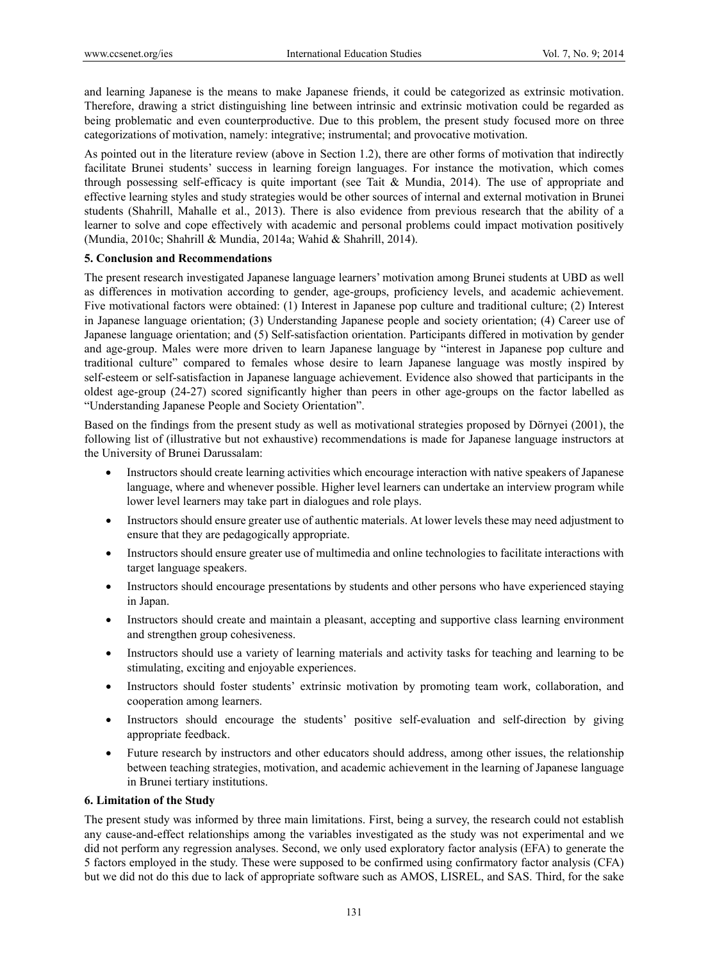and learning Japanese is the means to make Japanese friends, it could be categorized as extrinsic motivation. Therefore, drawing a strict distinguishing line between intrinsic and extrinsic motivation could be regarded as being problematic and even counterproductive. Due to this problem, the present study focused more on three categorizations of motivation, namely: integrative; instrumental; and provocative motivation.

As pointed out in the literature review (above in Section 1.2), there are other forms of motivation that indirectly facilitate Brunei students' success in learning foreign languages. For instance the motivation, which comes through possessing self-efficacy is quite important (see Tait & Mundia, 2014). The use of appropriate and effective learning styles and study strategies would be other sources of internal and external motivation in Brunei students (Shahrill, Mahalle et al., 2013). There is also evidence from previous research that the ability of a learner to solve and cope effectively with academic and personal problems could impact motivation positively (Mundia, 2010c; Shahrill & Mundia, 2014a; Wahid & Shahrill, 2014).

## **5. Conclusion and Recommendations**

The present research investigated Japanese language learners' motivation among Brunei students at UBD as well as differences in motivation according to gender, age-groups, proficiency levels, and academic achievement. Five motivational factors were obtained: (1) Interest in Japanese pop culture and traditional culture; (2) Interest in Japanese language orientation; (3) Understanding Japanese people and society orientation; (4) Career use of Japanese language orientation; and (5) Self-satisfaction orientation. Participants differed in motivation by gender and age-group. Males were more driven to learn Japanese language by "interest in Japanese pop culture and traditional culture" compared to females whose desire to learn Japanese language was mostly inspired by self-esteem or self-satisfaction in Japanese language achievement. Evidence also showed that participants in the oldest age-group (24-27) scored significantly higher than peers in other age-groups on the factor labelled as "Understanding Japanese People and Society Orientation".

Based on the findings from the present study as well as motivational strategies proposed by Dörnyei (2001), the following list of (illustrative but not exhaustive) recommendations is made for Japanese language instructors at the University of Brunei Darussalam:

- Instructors should create learning activities which encourage interaction with native speakers of Japanese language, where and whenever possible. Higher level learners can undertake an interview program while lower level learners may take part in dialogues and role plays.
- Instructors should ensure greater use of authentic materials. At lower levels these may need adjustment to ensure that they are pedagogically appropriate.
- Instructors should ensure greater use of multimedia and online technologies to facilitate interactions with target language speakers.
- Instructors should encourage presentations by students and other persons who have experienced staying in Japan.
- Instructors should create and maintain a pleasant, accepting and supportive class learning environment and strengthen group cohesiveness.
- Instructors should use a variety of learning materials and activity tasks for teaching and learning to be stimulating, exciting and enjoyable experiences.
- Instructors should foster students' extrinsic motivation by promoting team work, collaboration, and cooperation among learners.
- Instructors should encourage the students' positive self-evaluation and self-direction by giving appropriate feedback.
- Future research by instructors and other educators should address, among other issues, the relationship between teaching strategies, motivation, and academic achievement in the learning of Japanese language in Brunei tertiary institutions.

# **6. Limitation of the Study**

The present study was informed by three main limitations. First, being a survey, the research could not establish any cause-and-effect relationships among the variables investigated as the study was not experimental and we did not perform any regression analyses. Second, we only used exploratory factor analysis (EFA) to generate the 5 factors employed in the study. These were supposed to be confirmed using confirmatory factor analysis (CFA) but we did not do this due to lack of appropriate software such as AMOS, LISREL, and SAS. Third, for the sake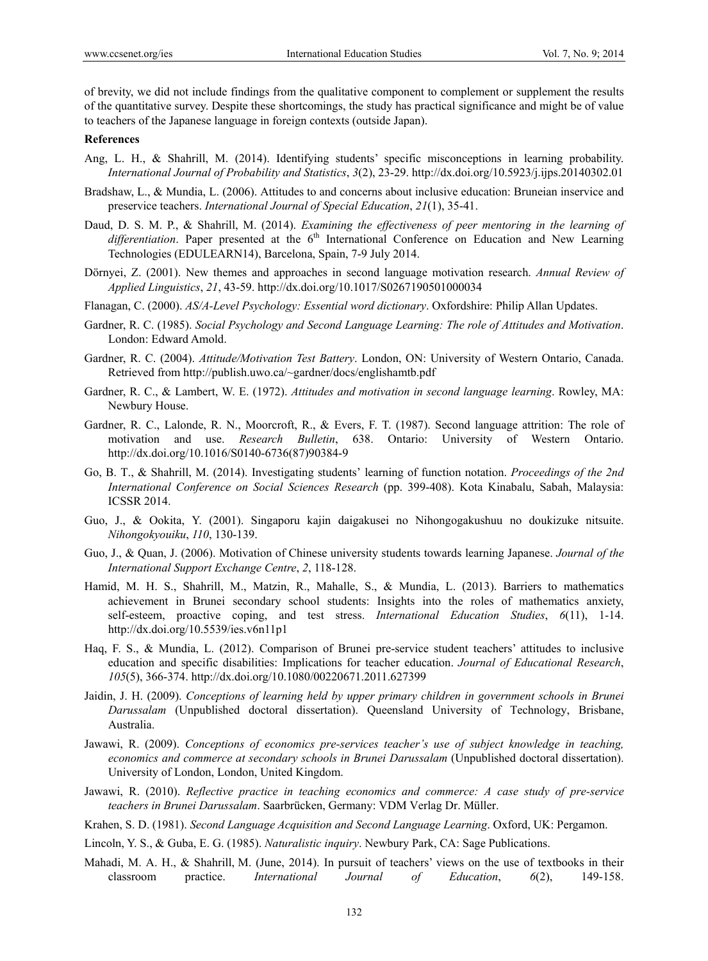of brevity, we did not include findings from the qualitative component to complement or supplement the results of the quantitative survey. Despite these shortcomings, the study has practical significance and might be of value to teachers of the Japanese language in foreign contexts (outside Japan).

#### **References**

- Ang, L. H., & Shahrill, M. (2014). Identifying students' specific misconceptions in learning probability. *International Journal of Probability and Statistics*, *3*(2), 23-29. http://dx.doi.org/10.5923/j.ijps.20140302.01
- Bradshaw, L., & Mundia, L. (2006). Attitudes to and concerns about inclusive education: Bruneian inservice and preservice teachers. *International Journal of Special Education*, *21*(1), 35-41.
- Daud, D. S. M. P., & Shahrill, M. (2014). *Examining the effectiveness of peer mentoring in the learning of differentiation*. Paper presented at the 6<sup>th</sup> International Conference on Education and New Learning Technologies (EDULEARN14), Barcelona, Spain, 7-9 July 2014.
- Dörnyei, Z. (2001). New themes and approaches in second language motivation research. *Annual Review of Applied Linguistics*, *21*, 43-59. http://dx.doi.org/10.1017/S0267190501000034
- Flanagan, C. (2000). *AS/A-Level Psychology: Essential word dictionary*. Oxfordshire: Philip Allan Updates.
- Gardner, R. C. (1985). *Social Psychology and Second Language Learning: The role of Attitudes and Motivation*. London: Edward Amold.
- Gardner, R. C. (2004). *Attitude/Motivation Test Battery*. London, ON: University of Western Ontario, Canada. Retrieved from http://publish.uwo.ca/~gardner/docs/englishamtb.pdf
- Gardner, R. C., & Lambert, W. E. (1972). *Attitudes and motivation in second language learning*. Rowley, MA: Newbury House.
- Gardner, R. C., Lalonde, R. N., Moorcroft, R., & Evers, F. T. (1987). Second language attrition: The role of motivation and use. *Research Bulletin*, 638. Ontario: University of Western Ontario. http://dx.doi.org/10.1016/S0140-6736(87)90384-9
- Go, B. T., & Shahrill, M. (2014). Investigating students' learning of function notation. *Proceedings of the 2nd International Conference on Social Sciences Research* (pp. 399-408). Kota Kinabalu, Sabah, Malaysia: ICSSR 2014.
- Guo, J., & Ookita, Y. (2001). Singaporu kajin daigakusei no Nihongogakushuu no doukizuke nitsuite. *Nihongokyouiku*, *110*, 130-139.
- Guo, J., & Quan, J. (2006). Motivation of Chinese university students towards learning Japanese. *Journal of the International Support Exchange Centre*, *2*, 118-128.
- Hamid, M. H. S., Shahrill, M., Matzin, R., Mahalle, S., & Mundia, L. (2013). Barriers to mathematics achievement in Brunei secondary school students: Insights into the roles of mathematics anxiety, self-esteem, proactive coping, and test stress. *International Education Studies*, *6*(11), 1-14. http://dx.doi.org/10.5539/ies.v6n11p1
- Haq, F. S., & Mundia, L. (2012). Comparison of Brunei pre-service student teachers' attitudes to inclusive education and specific disabilities: Implications for teacher education. *Journal of Educational Research*, *105*(5), 366-374. http://dx.doi.org/10.1080/00220671.2011.627399
- Jaidin, J. H. (2009). *Conceptions of learning held by upper primary children in government schools in Brunei Darussalam* (Unpublished doctoral dissertation). Queensland University of Technology, Brisbane, Australia.
- Jawawi, R. (2009). *Conceptions of economics pre-services teacher's use of subject knowledge in teaching, economics and commerce at secondary schools in Brunei Darussalam* (Unpublished doctoral dissertation). University of London, London, United Kingdom.
- Jawawi, R. (2010). *Reflective practice in teaching economics and commerce: A case study of pre-service teachers in Brunei Darussalam*. Saarbrücken, Germany: VDM Verlag Dr. Müller.
- Krahen, S. D. (1981). *Second Language Acquisition and Second Language Learning*. Oxford, UK: Pergamon.
- Lincoln, Y. S., & Guba, E. G. (1985). *Naturalistic inquiry*. Newbury Park, CA: Sage Publications.
- Mahadi, M. A. H., & Shahrill, M. (June, 2014). In pursuit of teachers' views on the use of textbooks in their classroom practice. *International Journal of Education*, *6*(2), 149-158.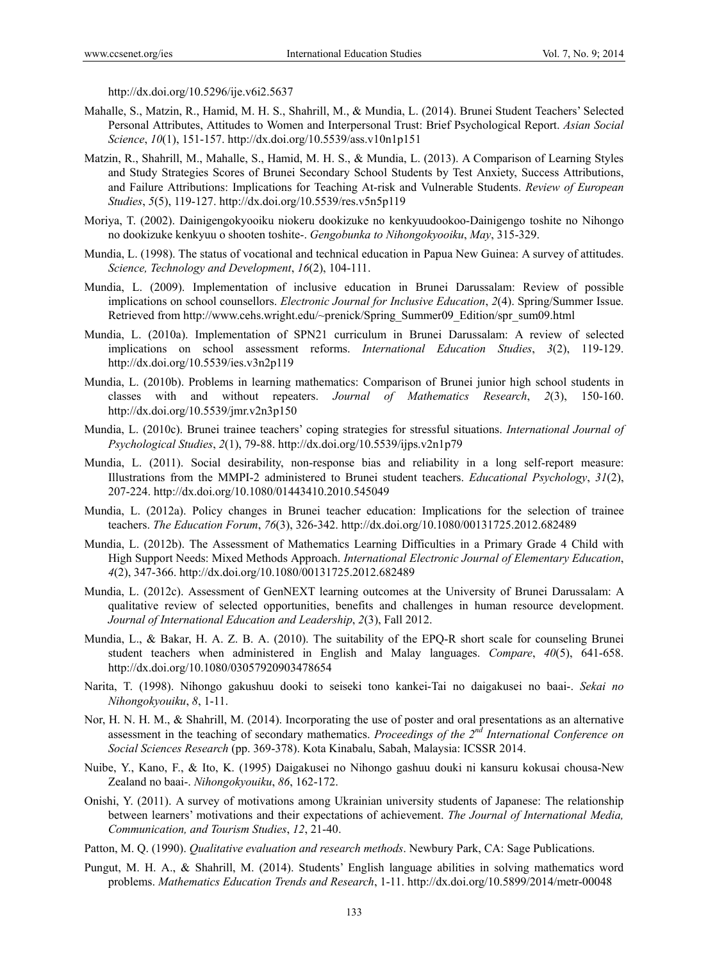http://dx.doi.org/10.5296/ije.v6i2.5637

- Mahalle, S., Matzin, R., Hamid, M. H. S., Shahrill, M., & Mundia, L. (2014). Brunei Student Teachers' Selected Personal Attributes, Attitudes to Women and Interpersonal Trust: Brief Psychological Report. *Asian Social Science*, *10*(1), 151-157. http://dx.doi.org/10.5539/ass.v10n1p151
- Matzin, R., Shahrill, M., Mahalle, S., Hamid, M. H. S., & Mundia, L. (2013). A Comparison of Learning Styles and Study Strategies Scores of Brunei Secondary School Students by Test Anxiety, Success Attributions, and Failure Attributions: Implications for Teaching At-risk and Vulnerable Students. *Review of European Studies*, *5*(5), 119-127. http://dx.doi.org/10.5539/res.v5n5p119
- Moriya, T. (2002). Dainigengokyooiku niokeru dookizuke no kenkyuudookoo-Dainigengo toshite no Nihongo no dookizuke kenkyuu o shooten toshite-. *Gengobunka to Nihongokyooiku*, *May*, 315-329.
- Mundia, L. (1998). The status of vocational and technical education in Papua New Guinea: A survey of attitudes. *Science, Technology and Development*, *16*(2), 104-111.
- Mundia, L. (2009). Implementation of inclusive education in Brunei Darussalam: Review of possible implications on school counsellors. *Electronic Journal for Inclusive Education*, *2*(4). Spring/Summer Issue. Retrieved from http://www.cehs.wright.edu/~prenick/Spring\_Summer09\_Edition/spr\_sum09.html
- Mundia, L. (2010a). Implementation of SPN21 curriculum in Brunei Darussalam: A review of selected implications on school assessment reforms. *International Education Studies*, *3*(2), 119-129. http://dx.doi.org/10.5539/ies.v3n2p119
- Mundia, L. (2010b). Problems in learning mathematics: Comparison of Brunei junior high school students in classes with and without repeaters. *Journal of Mathematics Research*, *2*(3), 150-160. http://dx.doi.org/10.5539/jmr.v2n3p150
- Mundia, L. (2010c). Brunei trainee teachers' coping strategies for stressful situations. *International Journal of Psychological Studies*, *2*(1), 79-88. http://dx.doi.org/10.5539/ijps.v2n1p79
- Mundia, L. (2011). Social desirability, non-response bias and reliability in a long self-report measure: Illustrations from the MMPI-2 administered to Brunei student teachers. *Educational Psychology*, *31*(2), 207-224. http://dx.doi.org/10.1080/01443410.2010.545049
- Mundia, L. (2012a). Policy changes in Brunei teacher education: Implications for the selection of trainee teachers. *The Education Forum*, *76*(3), 326-342. http://dx.doi.org/10.1080/00131725.2012.682489
- Mundia, L. (2012b). The Assessment of Mathematics Learning Difficulties in a Primary Grade 4 Child with High Support Needs: Mixed Methods Approach. *International Electronic Journal of Elementary Education*, *4*(2), 347-366. http://dx.doi.org/10.1080/00131725.2012.682489
- Mundia, L. (2012c). Assessment of GenNEXT learning outcomes at the University of Brunei Darussalam: A qualitative review of selected opportunities, benefits and challenges in human resource development. *Journal of International Education and Leadership*, *2*(3), Fall 2012.
- Mundia, L., & Bakar, H. A. Z. B. A. (2010). The suitability of the EPQ-R short scale for counseling Brunei student teachers when administered in English and Malay languages. *Compare*, *40*(5), 641-658. http://dx.doi.org/10.1080/03057920903478654
- Narita, T. (1998). Nihongo gakushuu dooki to seiseki tono kankei-Tai no daigakusei no baai-. *Sekai no Nihongokyouiku*, *8*, 1-11.
- Nor, H. N. H. M., & Shahrill, M. (2014). Incorporating the use of poster and oral presentations as an alternative assessment in the teaching of secondary mathematics. *Proceedings of the 2nd International Conference on Social Sciences Research* (pp. 369-378). Kota Kinabalu, Sabah, Malaysia: ICSSR 2014.
- Nuibe, Y., Kano, F., & Ito, K. (1995) Daigakusei no Nihongo gashuu douki ni kansuru kokusai chousa-New Zealand no baai-. *Nihongokyouiku*, *86*, 162-172.
- Onishi, Y. (2011). A survey of motivations among Ukrainian university students of Japanese: The relationship between learners' motivations and their expectations of achievement. *The Journal of International Media, Communication, and Tourism Studies*, *12*, 21-40.
- Patton, M. Q. (1990). *Qualitative evaluation and research methods*. Newbury Park, CA: Sage Publications.
- Pungut, M. H. A., & Shahrill, M. (2014). Students' English language abilities in solving mathematics word problems. *Mathematics Education Trends and Research*, 1-11. http://dx.doi.org/10.5899/2014/metr-00048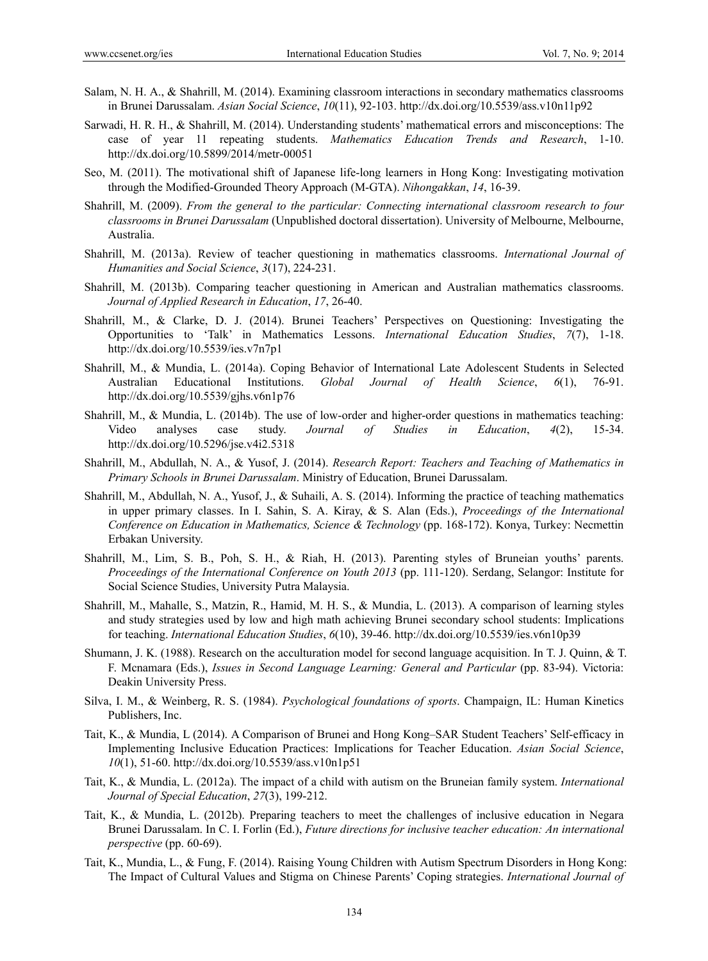- Salam, N. H. A., & Shahrill, M. (2014). Examining classroom interactions in secondary mathematics classrooms in Brunei Darussalam. *Asian Social Science*, *10*(11), 92-103. http://dx.doi.org/10.5539/ass.v10n11p92
- Sarwadi, H. R. H., & Shahrill, M. (2014). Understanding students' mathematical errors and misconceptions: The case of year 11 repeating students. *Mathematics Education Trends and Research*, 1-10. http://dx.doi.org/10.5899/2014/metr-00051
- Seo, M. (2011). The motivational shift of Japanese life-long learners in Hong Kong: Investigating motivation through the Modified-Grounded Theory Approach (M-GTA). *Nihongakkan*, *14*, 16-39.
- Shahrill, M. (2009). *From the general to the particular: Connecting international classroom research to four classrooms in Brunei Darussalam* (Unpublished doctoral dissertation). University of Melbourne, Melbourne, Australia.
- Shahrill, M. (2013a). Review of teacher questioning in mathematics classrooms. *International Journal of Humanities and Social Science*, *3*(17), 224-231.
- Shahrill, M. (2013b). Comparing teacher questioning in American and Australian mathematics classrooms. *Journal of Applied Research in Education*, *17*, 26-40.
- Shahrill, M., & Clarke, D. J. (2014). Brunei Teachers' Perspectives on Questioning: Investigating the Opportunities to 'Talk' in Mathematics Lessons. *International Education Studies*, *7*(7), 1-18. http://dx.doi.org/10.5539/ies.v7n7p1
- Shahrill, M., & Mundia, L. (2014a). Coping Behavior of International Late Adolescent Students in Selected Australian Educational Institutions. *Global Journal of Health Science*, *6*(1), 76-91. http://dx.doi.org/10.5539/gjhs.v6n1p76
- Shahrill, M., & Mundia, L. (2014b). The use of low-order and higher-order questions in mathematics teaching: Video analyses case study. *Journal of Studies in Education*, *4*(2), 15-34. http://dx.doi.org/10.5296/jse.v4i2.5318
- Shahrill, M., Abdullah, N. A., & Yusof, J. (2014). *Research Report: Teachers and Teaching of Mathematics in Primary Schools in Brunei Darussalam*. Ministry of Education, Brunei Darussalam.
- Shahrill, M., Abdullah, N. A., Yusof, J., & Suhaili, A. S. (2014). Informing the practice of teaching mathematics in upper primary classes. In I. Sahin, S. A. Kiray, & S. Alan (Eds.), *Proceedings of the International Conference on Education in Mathematics, Science & Technology* (pp. 168-172). Konya, Turkey: Necmettin Erbakan University.
- Shahrill, M., Lim, S. B., Poh, S. H., & Riah, H. (2013). Parenting styles of Bruneian youths' parents. *Proceedings of the International Conference on Youth 2013* (pp. 111-120). Serdang, Selangor: Institute for Social Science Studies, University Putra Malaysia.
- Shahrill, M., Mahalle, S., Matzin, R., Hamid, M. H. S., & Mundia, L. (2013). A comparison of learning styles and study strategies used by low and high math achieving Brunei secondary school students: Implications for teaching. *International Education Studies*, *6*(10), 39-46. http://dx.doi.org/10.5539/ies.v6n10p39
- Shumann, J. K. (1988). Research on the acculturation model for second language acquisition. In T. J. Quinn, & T. F. Mcnamara (Eds.), *Issues in Second Language Learning: General and Particular* (pp. 83-94). Victoria: Deakin University Press.
- Silva, I. M., & Weinberg, R. S. (1984). *Psychological foundations of sports*. Champaign, IL: Human Kinetics Publishers, Inc.
- Tait, K., & Mundia, L (2014). A Comparison of Brunei and Hong Kong–SAR Student Teachers' Self-efficacy in Implementing Inclusive Education Practices: Implications for Teacher Education. *Asian Social Science*, *10*(1), 51-60. http://dx.doi.org/10.5539/ass.v10n1p51
- Tait, K., & Mundia, L. (2012a). The impact of a child with autism on the Bruneian family system. *International Journal of Special Education*, *27*(3), 199-212.
- Tait, K., & Mundia, L. (2012b). Preparing teachers to meet the challenges of inclusive education in Negara Brunei Darussalam. In C. I. Forlin (Ed.), *Future directions for inclusive teacher education: An international perspective* (pp. 60-69).
- Tait, K., Mundia, L., & Fung, F. (2014). Raising Young Children with Autism Spectrum Disorders in Hong Kong: The Impact of Cultural Values and Stigma on Chinese Parents' Coping strategies. *International Journal of*